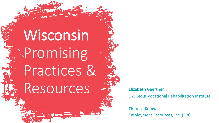Wisconsin Promising Practices & Resources **<b>Elizabeth Gaertner** 

**TANK AND THE TANK** 

UW Stout Vocational Rehabilitation Institute

**Theresa Kulow** Employment Resources, Inc. (ERI)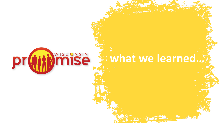

## **what we learned…**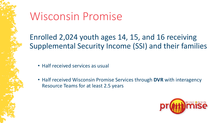

Enrolled 2,024 youth ages 14, 15, and 16 receiving Supplemental Security Income (SSI) and their families

- Half received services as usual
- Half received Wisconsin Promise Services through **DVR** with interagency Resource Teams for at least 2.5 years

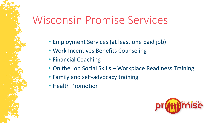## Wisconsin Promise Services

- Employment Services (at least one paid job)
- Work Incentives Benefits Counseling
- Financial Coaching
- On the Job Social Skills Workplace Readiness Training
- Family and self-advocacy training
- Health Promotion

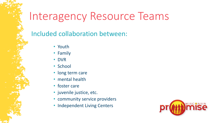## Interagency Resource Teams

### Included collaboration between:

- Youth
- Family
- DVR
- School
- long term care
- mental health
- foster care
- juvenile justice, etc.
- community service providers
- Independent Living Centers

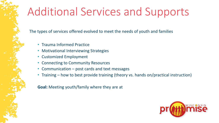## Additional Services and Supports

The types of services offered evolved to meet the needs of youth and families

- Trauma Informed Practice
- Motivational Interviewing Strategies
- Customized Employment
- Connecting to Community Resources
- Communication post cards and text messages
- Training how to best provide training (theory vs. hands on/practical instruction)

#### **Goal:** Meeting youth/family where they are at

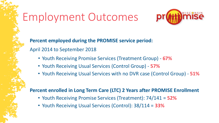## Employment Outcomes



**Percent employed during the PROMISE service period:**  April 2014 to September 2018

- Youth Receiving Promise Services (Treatment Group) **67%**
- Youth Receiving Usual Services (Control Group) **57%**
- Youth Receiving Usual Services with no DVR case (Control Group) **51%**

#### **Percent enrolled in Long Term Care (LTC) 2 Years after PROMISE Enrollment**

- Youth Receiving Promise Services (Treatment): 74/141 = **52%**
- Youth Receiving Usual Services (Control): 38/114 = **33%**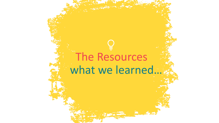# what we learned… The Resources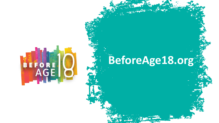

# **BeforeAge18.org**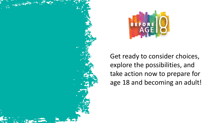

Get ready to consider choices, explore the possibilities, and take action now to prepare for age 18 and becoming an adult!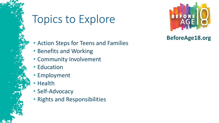## Topics to Explore



### **BeforeAge18.org**

- Action Steps for Teens and Families
- Benefits and Working
- Community Involvement
- Education
- Employment
- Health
- Self-Advocacy
- Rights and Responsibilities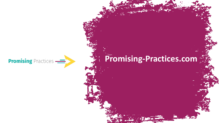

## **Promising-Practices.com**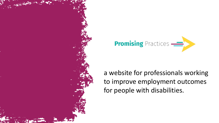



a website for professionals working to improve employment outcomes for people with disabilities.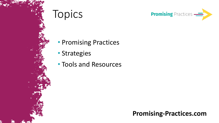



- Promising Practices
- Strategies
- Tools and Resources

### **Promising-Practices.com**